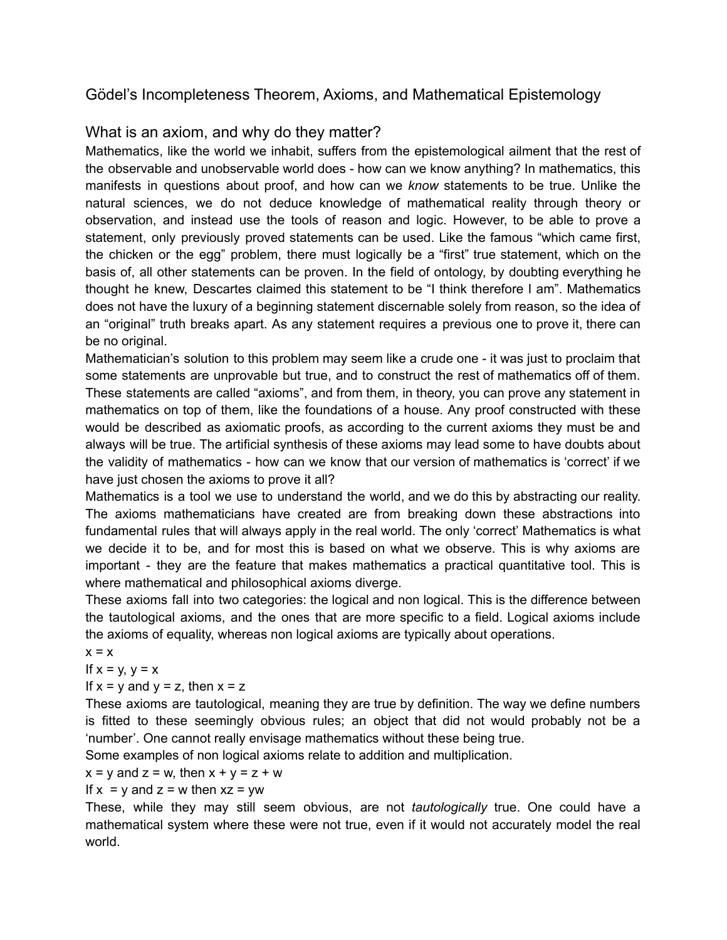# Gödel's Incompleteness Theorem, Axioms, and Mathematical Epistemology

# What is an axiom, and why do they matter?

Mathematics, like the world we inhabit, suffers from the epistemological ailment that the rest of the observable and unobservable world does - how can we know anything? In mathematics, this manifests in questions about proof, and how can we *know* statements to be true. Unlike the natural sciences, we do not deduce knowledge of mathematical reality through theory or observation, and instead use the tools of reason and logic. However, to be able to prove a statement, only previously proved statements can be used. Like the famous "which came first, the chicken or the egg" problem, there must logically be a "first" true statement, which on the basis of, all other statements can be proven. In the field of ontology, by doubting everything he thought he knew, Descartes claimed this statement to be "I think therefore I am". Mathematics does not have the luxury of a beginning statement discernable solely from reason, so the idea of an "original" truth breaks apart. As any statement requires a previous one to prove it, there can be no original.

Mathematician's solution to this problem may seem like a crude one - it was just to proclaim that some statements are unprovable but true, and to construct the rest of mathematics off of them. These statements are called "axioms", and from them, in theory, you can prove any statement in mathematics on top of them, like the foundations of a house. Any proof constructed with these would be described as axiomatic proofs, as according to the current axioms they must be and always will be true. The artificial synthesis of these axioms may lead some to have doubts about the validity of mathematics - how can we know that our version of mathematics is 'correct' if we have just chosen the axioms to prove it all?

Mathematics is a tool we use to understand the world, and we do this by abstracting our reality. The axioms mathematicians have created are from breaking down these abstractions into fundamental rules that will always apply in the real world. The only 'correct' Mathematics is what we decide it to be, and for most this is based on what we observe. This is why axioms are important - they are the feature that makes mathematics a practical quantitative tool. This is where mathematical and philosophical axioms diverge.

These axioms fall into two categories: the logical and non logical. This is the difference between the tautological axioms, and the ones that are more specific to a field. Logical axioms include the axioms of equality, whereas non logical axioms are typically about operations.

 $x = x$ 

If  $x = y$ ,  $y = x$ 

If  $x = y$  and  $y = z$ , then  $x = z$ 

These axioms are tautological, meaning they are true by definition. The way we define numbers is fitted to these seemingly obvious rules; an object that did not would probably not be a 'number'. One cannot really envisage mathematics without these being true.

Some examples of non logical axioms relate to addition and multiplication.

## $x = y$  and  $z = w$ , then  $x + y = z + w$

#### If  $x = y$  and  $z = w$  then  $xz = yw$

These, while they may still seem obvious, are not *tautologically* true. One could have a mathematical system where these were not true, even if it would not accurately model the real world.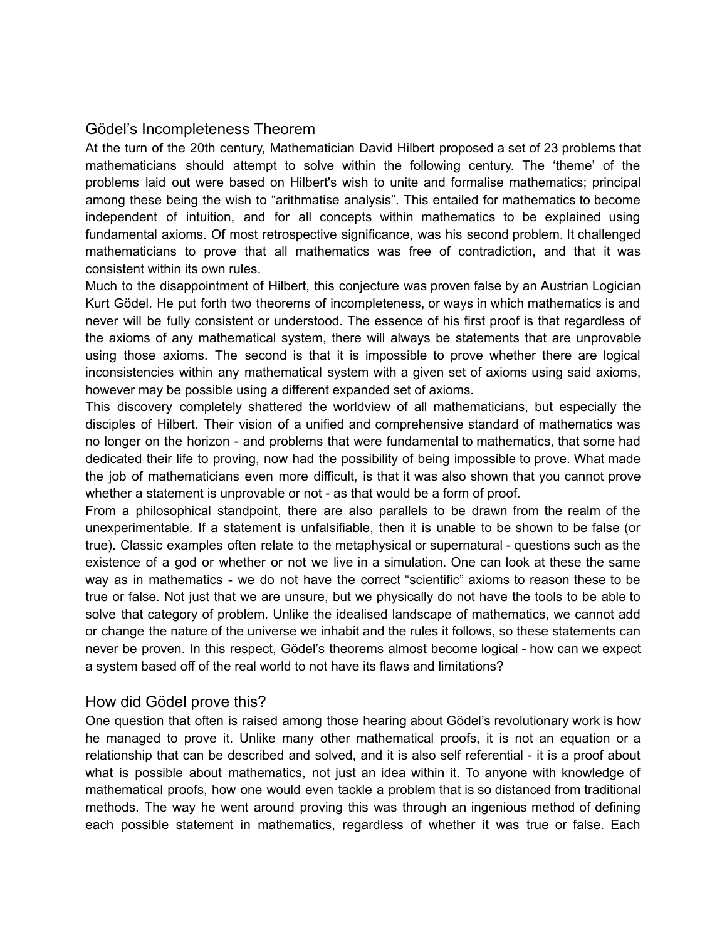## Gödel's Incompleteness Theorem

At the turn of the 20th century, Mathematician David Hilbert proposed a set of 23 problems that mathematicians should attempt to solve within the following century. The 'theme' of the problems laid out were based on Hilbert's wish to unite and formalise mathematics; principal among these being the wish to "arithmatise analysis". This entailed for mathematics to become independent of intuition, and for all concepts within mathematics to be explained using fundamental axioms. Of most retrospective significance, was his second problem. It challenged mathematicians to prove that all mathematics was free of contradiction, and that it was consistent within its own rules.

Much to the disappointment of Hilbert, this conjecture was proven false by an Austrian Logician Kurt Gödel. He put forth two theorems of incompleteness, or ways in which mathematics is and never will be fully consistent or understood. The essence of his first proof is that regardless of the axioms of any mathematical system, there will always be statements that are unprovable using those axioms. The second is that it is impossible to prove whether there are logical inconsistencies within any mathematical system with a given set of axioms using said axioms, however may be possible using a different expanded set of axioms.

This discovery completely shattered the worldview of all mathematicians, but especially the disciples of Hilbert. Their vision of a unified and comprehensive standard of mathematics was no longer on the horizon - and problems that were fundamental to mathematics, that some had dedicated their life to proving, now had the possibility of being impossible to prove. What made the job of mathematicians even more difficult, is that it was also shown that you cannot prove whether a statement is unprovable or not - as that would be a form of proof.

From a philosophical standpoint, there are also parallels to be drawn from the realm of the unexperimentable. If a statement is unfalsifiable, then it is unable to be shown to be false (or true). Classic examples often relate to the metaphysical or supernatural - questions such as the existence of a god or whether or not we live in a simulation. One can look at these the same way as in mathematics - we do not have the correct "scientific" axioms to reason these to be true or false. Not just that we are unsure, but we physically do not have the tools to be able to solve that category of problem. Unlike the idealised landscape of mathematics, we cannot add or change the nature of the universe we inhabit and the rules it follows, so these statements can never be proven. In this respect, Gödel's theorems almost become logical - how can we expect a system based off of the real world to not have its flaws and limitations?

## How did Gödel prove this?

One question that often is raised among those hearing about Gödel's revolutionary work is how he managed to prove it. Unlike many other mathematical proofs, it is not an equation or a relationship that can be described and solved, and it is also self referential - it is a proof about what is possible about mathematics, not just an idea within it. To anyone with knowledge of mathematical proofs, how one would even tackle a problem that is so distanced from traditional methods. The way he went around proving this was through an ingenious method of defining each possible statement in mathematics, regardless of whether it was true or false. Each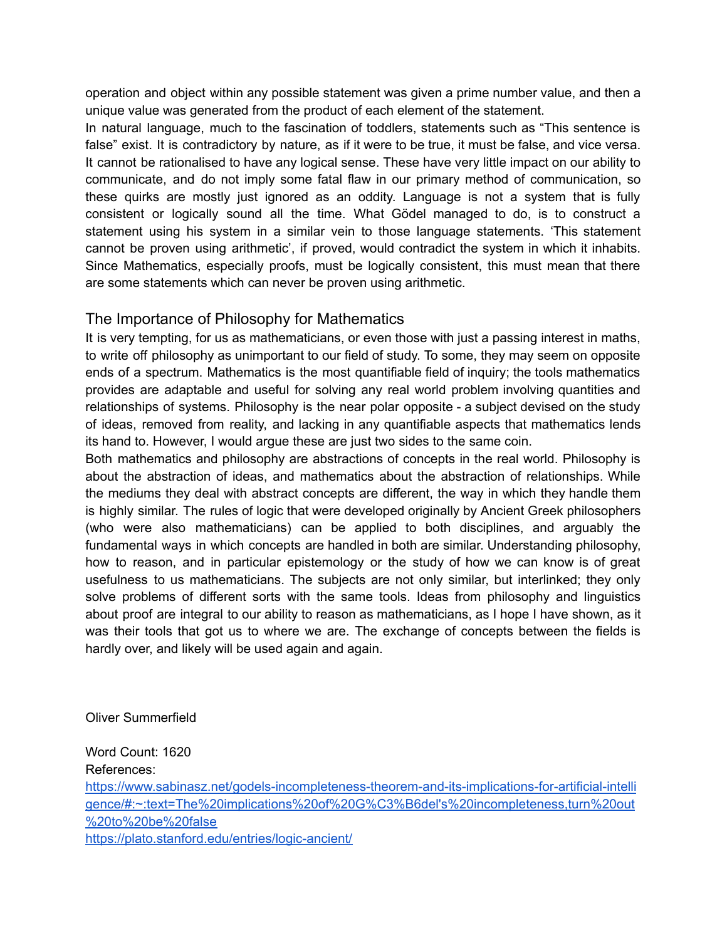operation and object within any possible statement was given a prime number value, and then a unique value was generated from the product of each element of the statement.

In natural language, much to the fascination of toddlers, statements such as "This sentence is false" exist. It is contradictory by nature, as if it were to be true, it must be false, and vice versa. It cannot be rationalised to have any logical sense. These have very little impact on our ability to communicate, and do not imply some fatal flaw in our primary method of communication, so these quirks are mostly just ignored as an oddity. Language is not a system that is fully consistent or logically sound all the time. What Gödel managed to do, is to construct a statement using his system in a similar vein to those language statements. 'This statement cannot be proven using arithmetic', if proved, would contradict the system in which it inhabits. Since Mathematics, especially proofs, must be logically consistent, this must mean that there are some statements which can never be proven using arithmetic.

## The Importance of Philosophy for Mathematics

It is very tempting, for us as mathematicians, or even those with just a passing interest in maths, to write off philosophy as unimportant to our field of study. To some, they may seem on opposite ends of a spectrum. Mathematics is the most quantifiable field of inquiry; the tools mathematics provides are adaptable and useful for solving any real world problem involving quantities and relationships of systems. Philosophy is the near polar opposite - a subject devised on the study of ideas, removed from reality, and lacking in any quantifiable aspects that mathematics lends its hand to. However, I would argue these are just two sides to the same coin.

Both mathematics and philosophy are abstractions of concepts in the real world. Philosophy is about the abstraction of ideas, and mathematics about the abstraction of relationships. While the mediums they deal with abstract concepts are different, the way in which they handle them is highly similar. The rules of logic that were developed originally by Ancient Greek philosophers (who were also mathematicians) can be applied to both disciplines, and arguably the fundamental ways in which concepts are handled in both are similar. Understanding philosophy, how to reason, and in particular epistemology or the study of how we can know is of great usefulness to us mathematicians. The subjects are not only similar, but interlinked; they only solve problems of different sorts with the same tools. Ideas from philosophy and linguistics about proof are integral to our ability to reason as mathematicians, as I hope I have shown, as it was their tools that got us to where we are. The exchange of concepts between the fields is hardly over, and likely will be used again and again.

## Oliver Summerfield

Word Count: 1620 References: [https://www.sabinasz.net/godels-incompleteness-theorem-and-its-implications-for-artificial-intelli](https://www.sabinasz.net/godels-incompleteness-theorem-and-its-implications-for-artificial-intelligence/#:~:text=The%20implications%20of%20G%C3%B6del) [gence/#:~:text=The%20implications%20of%20G%C3%B6del's%20incompleteness,turn%20out](https://www.sabinasz.net/godels-incompleteness-theorem-and-its-implications-for-artificial-intelligence/#:~:text=The%20implications%20of%20G%C3%B6del) [%20to%20be%20false](https://www.sabinasz.net/godels-incompleteness-theorem-and-its-implications-for-artificial-intelligence/#:~:text=The%20implications%20of%20G%C3%B6del) <https://plato.stanford.edu/entries/logic-ancient/>